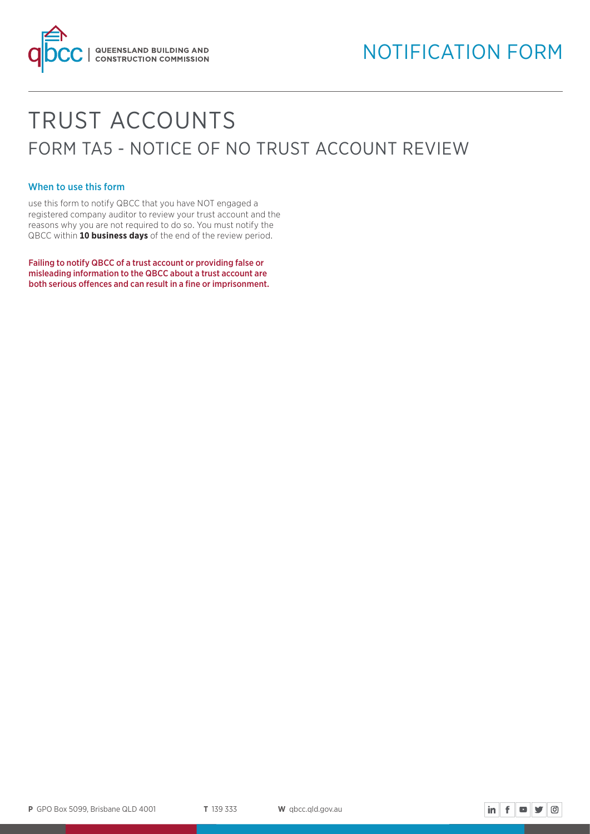

# TRUST ACCOUNTS FORM TA5 - NOTICE OF NO TRUST ACCOUNT REVIEW

# When to use this form

use this form to notify QBCC that you have NOT engaged a registered company auditor to review your trust account and the reasons why you are not required to do so. You must notify the QBCC within **10 business days** of the end of the review period.

Failing to notify QBCC of a trust account or providing false or misleading information to the QBCC about a trust account are both serious offences and can result in a fine or imprisonment.